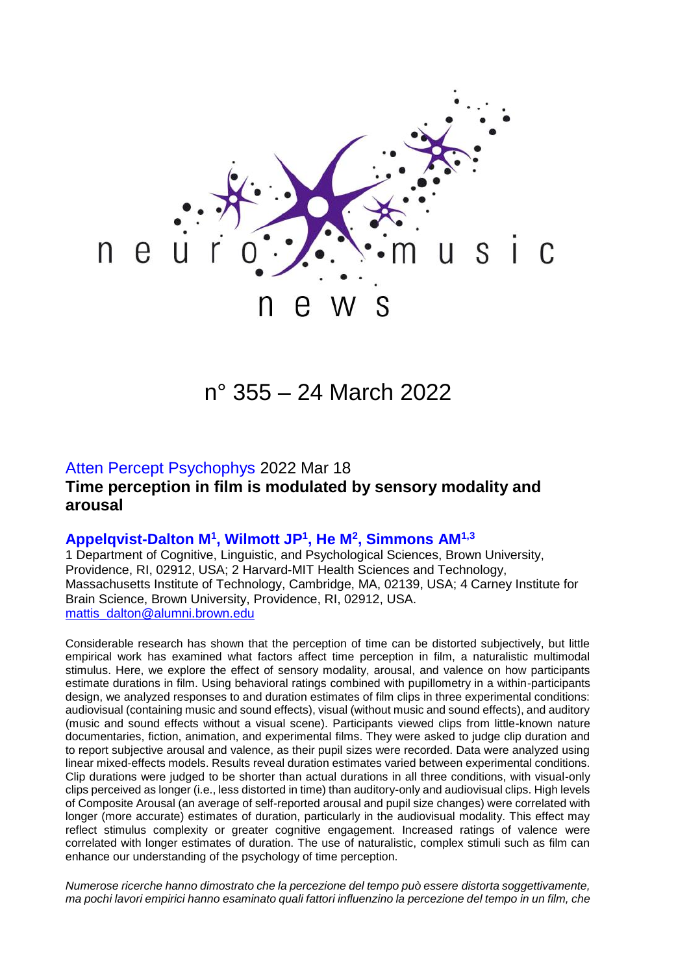

# n° 355 – 24 March 2022

## Atten Percept Psychophys 2022 Mar 18 **Time perception in film is modulated by sensory modality and arousal**

#### **Appelqvist-Dalton M<sup>1</sup> , Wilmott JP<sup>1</sup> , He M<sup>2</sup> , Simmons AM1,3**

1 Department of Cognitive, Linguistic, and Psychological Sciences, Brown University, Providence, RI, 02912, USA; 2 Harvard-MIT Health Sciences and Technology, Massachusetts Institute of Technology, Cambridge, MA, 02139, USA; 4 Carney Institute for Brain Science, Brown University, Providence, RI, 02912, USA. [mattis\\_dalton@alumni.brown.edu](mailto:mattis_dalton@alumni.brown.edu)

Considerable research has shown that the perception of time can be distorted subjectively, but little empirical work has examined what factors affect time perception in film, a naturalistic multimodal stimulus. Here, we explore the effect of sensory modality, arousal, and valence on how participants estimate durations in film. Using behavioral ratings combined with pupillometry in a within-participants design, we analyzed responses to and duration estimates of film clips in three experimental conditions: audiovisual (containing music and sound effects), visual (without music and sound effects), and auditory (music and sound effects without a visual scene). Participants viewed clips from little-known nature documentaries, fiction, animation, and experimental films. They were asked to judge clip duration and to report subjective arousal and valence, as their pupil sizes were recorded. Data were analyzed using linear mixed-effects models. Results reveal duration estimates varied between experimental conditions. Clip durations were judged to be shorter than actual durations in all three conditions, with visual-only clips perceived as longer (i.e., less distorted in time) than auditory-only and audiovisual clips. High levels of Composite Arousal (an average of self-reported arousal and pupil size changes) were correlated with longer (more accurate) estimates of duration, particularly in the audiovisual modality. This effect may reflect stimulus complexity or greater cognitive engagement. Increased ratings of valence were correlated with longer estimates of duration. The use of naturalistic, complex stimuli such as film can enhance our understanding of the psychology of time perception.

*Numerose ricerche hanno dimostrato che la percezione del tempo può essere distorta soggettivamente, ma pochi lavori empirici hanno esaminato quali fattori influenzino la percezione del tempo in un film, che*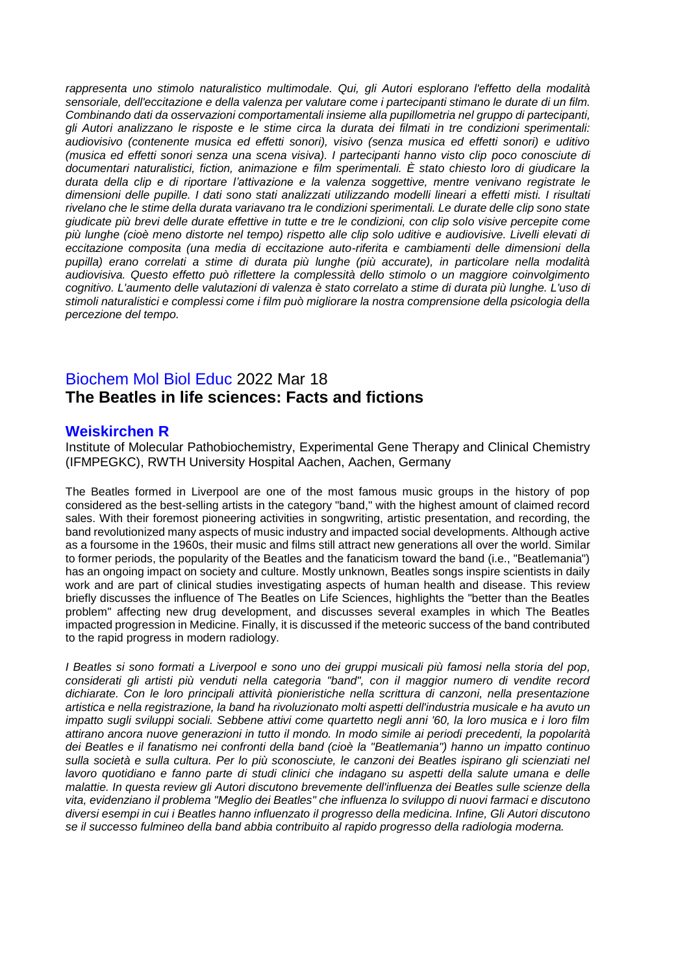*rappresenta uno stimolo naturalistico multimodale. Qui, gli Autori esplorano l'effetto della modalità sensoriale, dell'eccitazione e della valenza per valutare come i partecipanti stimano le durate di un film. Combinando dati da osservazioni comportamentali insieme alla pupillometria nel gruppo di partecipanti, gli Autori analizzano le risposte e le stime circa la durata dei filmati in tre condizioni sperimentali: audiovisivo (contenente musica ed effetti sonori), visivo (senza musica ed effetti sonori) e uditivo (musica ed effetti sonori senza una scena visiva). I partecipanti hanno visto clip poco conosciute di documentari naturalistici, fiction, animazione e film sperimentali. È stato chiesto loro di giudicare la durata della clip e di riportare l'attivazione e la valenza soggettive, mentre venivano registrate le dimensioni delle pupille. I dati sono stati analizzati utilizzando modelli lineari a effetti misti. I risultati rivelano che le stime della durata variavano tra le condizioni sperimentali. Le durate delle clip sono state giudicate più brevi delle durate effettive in tutte e tre le condizioni, con clip solo visive percepite come più lunghe (cioè meno distorte nel tempo) rispetto alle clip solo uditive e audiovisive. Livelli elevati di eccitazione composita (una media di eccitazione auto-riferita e cambiamenti delle dimensioni della pupilla) erano correlati a stime di durata più lunghe (più accurate), in particolare nella modalità audiovisiva. Questo effetto può riflettere la complessità dello stimolo o un maggiore coinvolgimento cognitivo. L'aumento delle valutazioni di valenza è stato correlato a stime di durata più lunghe. L'uso di stimoli naturalistici e complessi come i film può migliorare la nostra comprensione della psicologia della percezione del tempo.*

# Biochem Mol Biol Educ 2022 Mar 18 **The Beatles in life sciences: Facts and fictions**

#### **Weiskirchen R**

Institute of Molecular Pathobiochemistry, Experimental Gene Therapy and Clinical Chemistry (IFMPEGKC), RWTH University Hospital Aachen, Aachen, Germany

The Beatles formed in Liverpool are one of the most famous music groups in the history of pop considered as the best-selling artists in the category "band," with the highest amount of claimed record sales. With their foremost pioneering activities in songwriting, artistic presentation, and recording, the band revolutionized many aspects of music industry and impacted social developments. Although active as a foursome in the 1960s, their music and films still attract new generations all over the world. Similar to former periods, the popularity of the Beatles and the fanaticism toward the band (i.e., "Beatlemania") has an ongoing impact on society and culture. Mostly unknown, Beatles songs inspire scientists in daily work and are part of clinical studies investigating aspects of human health and disease. This review briefly discusses the influence of The Beatles on Life Sciences, highlights the "better than the Beatles problem" affecting new drug development, and discusses several examples in which The Beatles impacted progression in Medicine. Finally, it is discussed if the meteoric success of the band contributed to the rapid progress in modern radiology.

*I Beatles si sono formati a Liverpool e sono uno dei gruppi musicali più famosi nella storia del pop, considerati gli artisti più venduti nella categoria "band", con il maggior numero di vendite record dichiarate. Con le loro principali attività pionieristiche nella scrittura di canzoni, nella presentazione artistica e nella registrazione, la band ha rivoluzionato molti aspetti dell'industria musicale e ha avuto un impatto sugli sviluppi sociali. Sebbene attivi come quartetto negli anni '60, la loro musica e i loro film attirano ancora nuove generazioni in tutto il mondo. In modo simile ai periodi precedenti, la popolarità dei Beatles e il fanatismo nei confronti della band (cioè la "Beatlemania") hanno un impatto continuo sulla società e sulla cultura. Per lo più sconosciute, le canzoni dei Beatles ispirano gli scienziati nel lavoro quotidiano e fanno parte di studi clinici che indagano su aspetti della salute umana e delle malattie. In questa review gli Autori discutono brevemente dell'influenza dei Beatles sulle scienze della vita, evidenziano il problema "Meglio dei Beatles" che influenza lo sviluppo di nuovi farmaci e discutono diversi esempi in cui i Beatles hanno influenzato il progresso della medicina. Infine, Gli Autori discutono se il successo fulmineo della band abbia contribuito al rapido progresso della radiologia moderna.*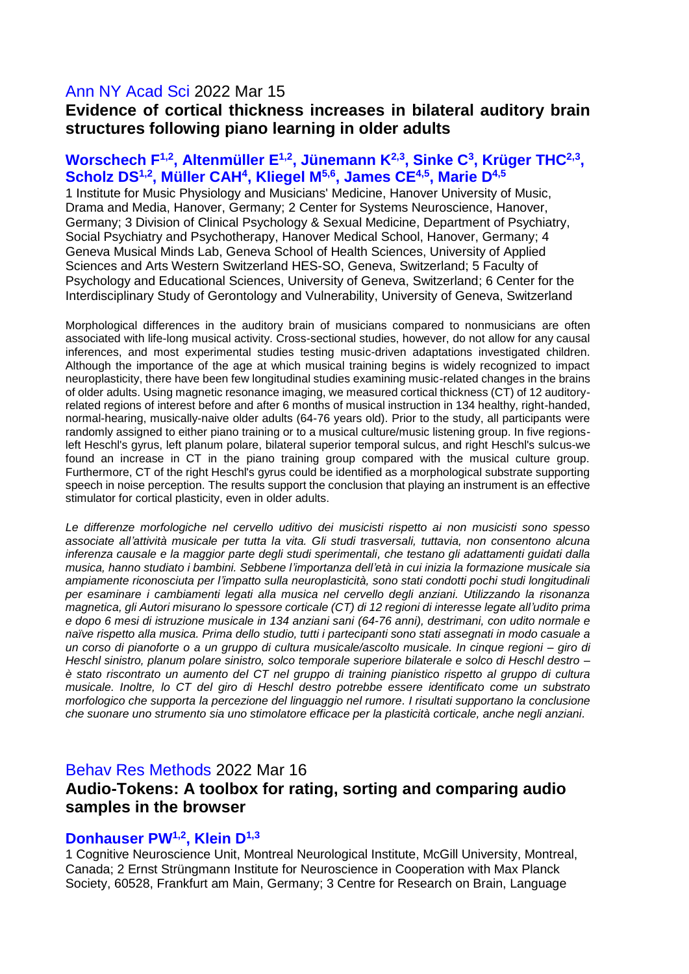### Ann NY Acad Sci 2022 Mar 15

# **Evidence of cortical thickness increases in bilateral auditory brain structures following piano learning in older adults**

#### Worschech F<sup>1,2</sup>, Altenmüller E<sup>1,2</sup>, Jünemann K<sup>2,3</sup>, Sinke C<sup>3</sup>, Krüger THC<sup>2,3</sup>, **Scholz DS1,2 , Müller CAH<sup>4</sup> , Kliegel M5,6 , James CE4,5 , Marie D4,5**

1 Institute for Music Physiology and Musicians' Medicine, Hanover University of Music, Drama and Media, Hanover, Germany; 2 Center for Systems Neuroscience, Hanover, Germany; 3 Division of Clinical Psychology & Sexual Medicine, Department of Psychiatry, Social Psychiatry and Psychotherapy, Hanover Medical School, Hanover, Germany; 4 Geneva Musical Minds Lab, Geneva School of Health Sciences, University of Applied Sciences and Arts Western Switzerland HES-SO, Geneva, Switzerland; 5 Faculty of Psychology and Educational Sciences, University of Geneva, Switzerland; 6 Center for the Interdisciplinary Study of Gerontology and Vulnerability, University of Geneva, Switzerland

Morphological differences in the auditory brain of musicians compared to nonmusicians are often associated with life-long musical activity. Cross-sectional studies, however, do not allow for any causal inferences, and most experimental studies testing music-driven adaptations investigated children. Although the importance of the age at which musical training begins is widely recognized to impact neuroplasticity, there have been few longitudinal studies examining music-related changes in the brains of older adults. Using magnetic resonance imaging, we measured cortical thickness (CT) of 12 auditoryrelated regions of interest before and after 6 months of musical instruction in 134 healthy, right-handed, normal-hearing, musically-naive older adults (64-76 years old). Prior to the study, all participants were randomly assigned to either piano training or to a musical culture/music listening group. In five regionsleft Heschl's gyrus, left planum polare, bilateral superior temporal sulcus, and right Heschl's sulcus-we found an increase in CT in the piano training group compared with the musical culture group. Furthermore, CT of the right Heschl's gyrus could be identified as a morphological substrate supporting speech in noise perception. The results support the conclusion that playing an instrument is an effective stimulator for cortical plasticity, even in older adults.

*Le differenze morfologiche nel cervello uditivo dei musicisti rispetto ai non musicisti sono spesso associate all'attività musicale per tutta la vita. Gli studi trasversali, tuttavia, non consentono alcuna inferenza causale e la maggior parte degli studi sperimentali, che testano gli adattamenti guidati dalla musica, hanno studiato i bambini. Sebbene l'importanza dell'età in cui inizia la formazione musicale sia ampiamente riconosciuta per l'impatto sulla neuroplasticità, sono stati condotti pochi studi longitudinali per esaminare i cambiamenti legati alla musica nel cervello degli anziani. Utilizzando la risonanza magnetica, gli Autori misurano lo spessore corticale (CT) di 12 regioni di interesse legate all'udito prima e dopo 6 mesi di istruzione musicale in 134 anziani sani (64-76 anni), destrimani, con udito normale e naïve rispetto alla musica. Prima dello studio, tutti i partecipanti sono stati assegnati in modo casuale a un corso di pianoforte o a un gruppo di cultura musicale/ascolto musicale. In cinque regioni – giro di Heschl sinistro, planum polare sinistro, solco temporale superiore bilaterale e solco di Heschl destro – è stato riscontrato un aumento del CT nel gruppo di training pianistico rispetto al gruppo di cultura musicale. Inoltre, lo CT del giro di Heschl destro potrebbe essere identificato come un substrato morfologico che supporta la percezione del linguaggio nel rumore. I risultati supportano la conclusione che suonare uno strumento sia uno stimolatore efficace per la plasticità corticale, anche negli anziani.*

#### Behav Res Methods 2022 Mar 16

### **Audio-Tokens: A toolbox for rating, sorting and comparing audio samples in the browser**

#### **Donhauser PW1,2, Klein D1,3**

1 Cognitive Neuroscience Unit, Montreal Neurological Institute, McGill University, Montreal, Canada; 2 Ernst Strüngmann Institute for Neuroscience in Cooperation with Max Planck Society, 60528, Frankfurt am Main, Germany; 3 Centre for Research on Brain, Language